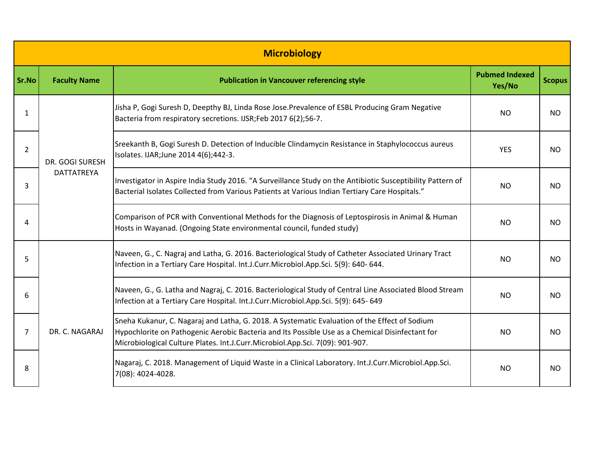| <b>Microbiology</b> |                                      |                                                                                                                                                                                                                                                                                   |                                 |               |  |  |  |
|---------------------|--------------------------------------|-----------------------------------------------------------------------------------------------------------------------------------------------------------------------------------------------------------------------------------------------------------------------------------|---------------------------------|---------------|--|--|--|
| Sr.No               | <b>Faculty Name</b>                  | <b>Publication in Vancouver referencing style</b>                                                                                                                                                                                                                                 | <b>Pubmed Indexed</b><br>Yes/No | <b>Scopus</b> |  |  |  |
| 1                   | DR. GOGI SURESH<br><b>DATTATREYA</b> | Jisha P, Gogi Suresh D, Deepthy BJ, Linda Rose Jose.Prevalence of ESBL Producing Gram Negative<br>Bacteria from respiratory secretions. IJSR;Feb 2017 6(2);56-7.                                                                                                                  | <b>NO</b>                       | NO.           |  |  |  |
| $\overline{2}$      |                                      | Sreekanth B, Gogi Suresh D. Detection of Inducible Clindamycin Resistance in Staphylococcus aureus<br>Isolates. IJAR; June 2014 4(6); 442-3.                                                                                                                                      | <b>YES</b>                      | <b>NO</b>     |  |  |  |
| 3                   |                                      | Investigator in Aspire India Study 2016. "A Surveillance Study on the Antibiotic Susceptibility Pattern of<br>Bacterial Isolates Collected from Various Patients at Various Indian Tertiary Care Hospitals."                                                                      | <b>NO</b>                       | NO.           |  |  |  |
| 4                   |                                      | Comparison of PCR with Conventional Methods for the Diagnosis of Leptospirosis in Animal & Human<br>Hosts in Wayanad. (Ongoing State environmental council, funded study)                                                                                                         | <b>NO</b>                       | <b>NO</b>     |  |  |  |
| 5                   | DR. C. NAGARAJ                       | Naveen, G., C. Nagraj and Latha, G. 2016. Bacteriological Study of Catheter Associated Urinary Tract<br>Infection in a Tertiary Care Hospital. Int.J.Curr.Microbiol.App.Sci. 5(9): 640- 644.                                                                                      | NO.                             | NO.           |  |  |  |
| 6                   |                                      | Naveen, G., G. Latha and Nagraj, C. 2016. Bacteriological Study of Central Line Associated Blood Stream<br>Infection at a Tertiary Care Hospital. Int.J.Curr.Microbiol.App.Sci. 5(9): 645-649                                                                                     | <b>NO</b>                       | <b>NO</b>     |  |  |  |
| 7                   |                                      | Sneha Kukanur, C. Nagaraj and Latha, G. 2018. A Systematic Evaluation of the Effect of Sodium<br>Hypochlorite on Pathogenic Aerobic Bacteria and Its Possible Use as a Chemical Disinfectant for<br>Microbiological Culture Plates. Int.J.Curr.Microbiol.App.Sci. 7(09): 901-907. | NO.                             | NO.           |  |  |  |
| 8                   |                                      | Nagaraj, C. 2018. Management of Liquid Waste in a Clinical Laboratory. Int.J.Curr.Microbiol.App.Sci.<br>7(08): 4024-4028.                                                                                                                                                         | <b>NO</b>                       | <b>NO</b>     |  |  |  |